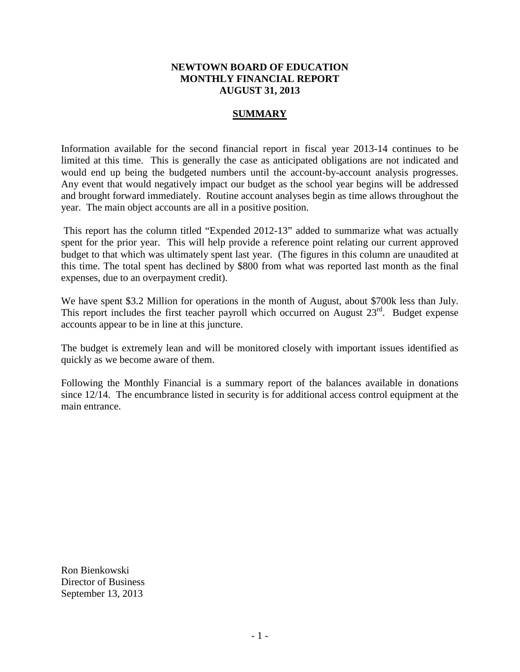#### **NEWTOWN BOARD OF EDUCATION MONTHLY FINANCIAL REPORT AUGUST 31, 2013**

#### **SUMMARY**

Information available for the second financial report in fiscal year 2013-14 continues to be limited at this time. This is generally the case as anticipated obligations are not indicated and would end up being the budgeted numbers until the account-by-account analysis progresses. Any event that would negatively impact our budget as the school year begins will be addressed and brought forward immediately. Routine account analyses begin as time allows throughout the year. The main object accounts are all in a positive position.

This report has the column titled "Expended 2012-13" added to summarize what was actually spent for the prior year. This will help provide a reference point relating our current approved budget to that which was ultimately spent last year. (The figures in this column are unaudited at this time. The total spent has declined by \$800 from what was reported last month as the final expenses, due to an overpayment credit).

We have spent \$3.2 Million for operations in the month of August, about \$700k less than July. This report includes the first teacher payroll which occurred on August  $23^{rd}$ . Budget expense accounts appear to be in line at this juncture.

The budget is extremely lean and will be monitored closely with important issues identified as quickly as we become aware of them.

Following the Monthly Financial is a summary report of the balances available in donations since 12/14. The encumbrance listed in security is for additional access control equipment at the main entrance.

Ron Bienkowski Director of Business September 13, 2013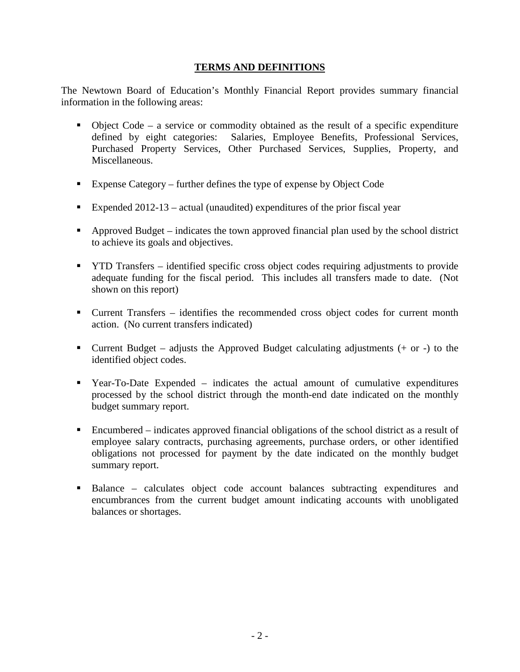### **TERMS AND DEFINITIONS**

The Newtown Board of Education's Monthly Financial Report provides summary financial information in the following areas:

- $\bullet$  Object Code a service or commodity obtained as the result of a specific expenditure defined by eight categories: Salaries, Employee Benefits, Professional Services, Purchased Property Services, Other Purchased Services, Supplies, Property, and Miscellaneous.
- Expense Category further defines the type of expense by Object Code
- Expended  $2012-13$  actual (unaudited) expenditures of the prior fiscal year
- Approved Budget indicates the town approved financial plan used by the school district to achieve its goals and objectives.
- **THE TRANSF identified specific cross object codes requiring adjustments to provide** adequate funding for the fiscal period. This includes all transfers made to date. (Not shown on this report)
- Current Transfers identifies the recommended cross object codes for current month action. (No current transfers indicated)
- **Current Budget** adjusts the Approved Budget calculating adjustments  $(+)$  or  $-)$  to the identified object codes.
- Year-To-Date Expended indicates the actual amount of cumulative expenditures processed by the school district through the month-end date indicated on the monthly budget summary report.
- Encumbered indicates approved financial obligations of the school district as a result of employee salary contracts, purchasing agreements, purchase orders, or other identified obligations not processed for payment by the date indicated on the monthly budget summary report.
- Balance calculates object code account balances subtracting expenditures and encumbrances from the current budget amount indicating accounts with unobligated balances or shortages.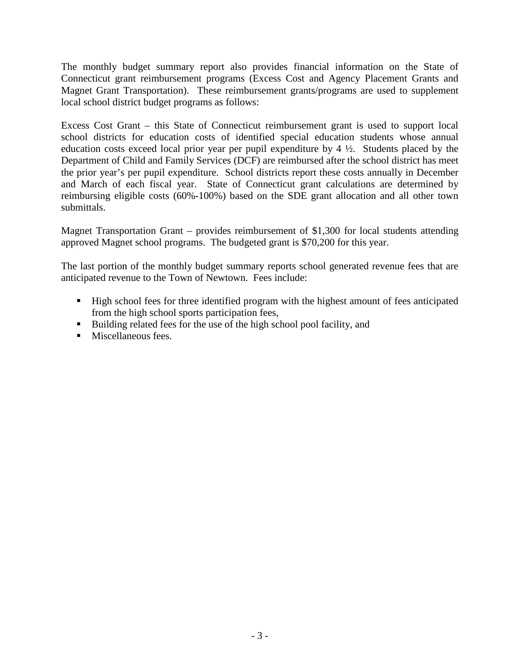The monthly budget summary report also provides financial information on the State of Connecticut grant reimbursement programs (Excess Cost and Agency Placement Grants and Magnet Grant Transportation). These reimbursement grants/programs are used to supplement local school district budget programs as follows:

Excess Cost Grant – this State of Connecticut reimbursement grant is used to support local school districts for education costs of identified special education students whose annual education costs exceed local prior year per pupil expenditure by 4 ½. Students placed by the Department of Child and Family Services (DCF) are reimbursed after the school district has meet the prior year's per pupil expenditure. School districts report these costs annually in December and March of each fiscal year. State of Connecticut grant calculations are determined by reimbursing eligible costs (60%-100%) based on the SDE grant allocation and all other town submittals.

Magnet Transportation Grant – provides reimbursement of \$1,300 for local students attending approved Magnet school programs. The budgeted grant is \$70,200 for this year.

The last portion of the monthly budget summary reports school generated revenue fees that are anticipated revenue to the Town of Newtown. Fees include:

- High school fees for three identified program with the highest amount of fees anticipated from the high school sports participation fees,
- Building related fees for the use of the high school pool facility, and
- **Miscellaneous fees.**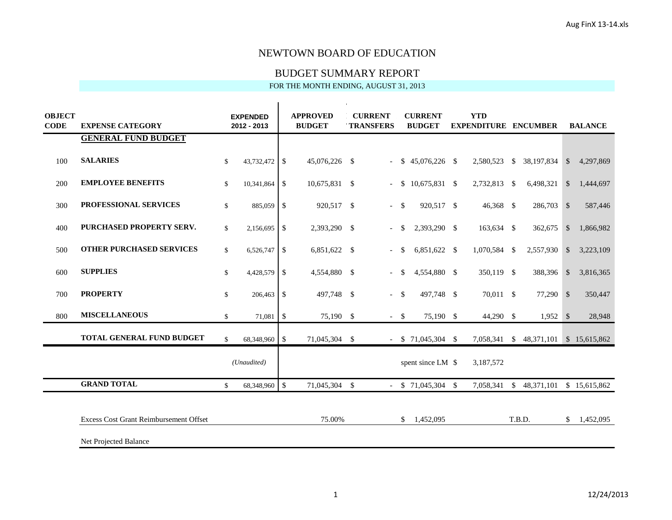#### BUDGET SUMMARY REPORT

| <b>OBJECT</b><br><b>CODE</b> | <b>EXPENSE CATEGORY</b>                       |              | <b>EXPENDED</b><br>$2012 - 2013$ |               | <b>APPROVED</b><br><b>BUDGET</b> | <b>CURRENT</b><br><b>TRANSFERS</b> |               | <b>CURRENT</b><br><b>BUDGET</b> | <b>YTD</b><br><b>EXPENDITURE ENCUMBER</b> |               |                                       |               | <b>BALANCE</b> |
|------------------------------|-----------------------------------------------|--------------|----------------------------------|---------------|----------------------------------|------------------------------------|---------------|---------------------------------|-------------------------------------------|---------------|---------------------------------------|---------------|----------------|
|                              | <b>GENERAL FUND BUDGET</b>                    |              |                                  |               |                                  |                                    |               |                                 |                                           |               |                                       |               |                |
| 100                          | <b>SALARIES</b>                               | \$           | 43,732,472                       | $\mathbb{S}$  | 45,076,226 \$                    | $\overline{a}$                     |               | $$45,076,226$ \,                | 2,580,523                                 |               | \$ 38,197,834                         | $\mathcal{S}$ | 4,297,869      |
| 200                          | <b>EMPLOYEE BENEFITS</b>                      | \$           | 10,341,864                       | \$            | 10,675,831 \$                    | $\overline{\phantom{a}}$           | \$            | 10,675,831 \$                   | 2,732,813                                 | <b>S</b>      | 6,498,321                             | $\mathcal{S}$ | 1,444,697      |
| 300                          | PROFESSIONAL SERVICES                         | $\mathbb{S}$ | 885,059                          | $\mathbb{S}$  | 920,517 \$                       | $\overline{\phantom{a}}$           | -S            | 920,517 \$                      | 46,368 \$                                 |               | 286,703                               | $\mathcal{S}$ | 587,446        |
| 400                          | PURCHASED PROPERTY SERV.                      | $\mathbb{S}$ | 2,156,695                        | \$            | 2,393,290 \$                     | $\blacksquare$                     | $\mathbb{S}$  | 2,393,290 \$                    | 163,634 \$                                |               | 362,675                               | $\mathcal{S}$ | 1,866,982      |
| 500                          | <b>OTHER PURCHASED SERVICES</b>               | \$           | 6,526,747                        | \$            | 6,851,622 \$                     | $\overline{a}$                     | $\mathbb{S}$  | 6,851,622 \$                    | 1,070,584 \$                              |               | 2,557,930                             | $\mathcal{S}$ | 3,223,109      |
| 600                          | <b>SUPPLIES</b>                               | \$           | 4,428,579                        | -S            | 4,554,880 \$                     | $\blacksquare$                     | <sup>\$</sup> | 4,554,880 \$                    | 350,119 \$                                |               | 388,396                               | $\mathcal{S}$ | 3,816,365      |
| 700                          | <b>PROPERTY</b>                               | \$           | 206,463                          | \$            | 497,748 \$                       | $\blacksquare$                     | $\mathcal{S}$ | 497,748 \$                      | 70,011 \$                                 |               | 77,290 \$                             |               | 350,447        |
| 800                          | <b>MISCELLANEOUS</b>                          | \$           | 71,081                           | $\mathbb{S}$  | 75,190 \$                        | $\sim$                             | $\mathcal{S}$ | 75,190 \$                       | 44,290 \$                                 |               | $1,952$ \$                            |               | 28,948         |
|                              | TOTAL GENERAL FUND BUDGET                     | \$           | 68,348,960                       | $\sqrt{S}$    | 71,045,304 \$                    |                                    |               | $-$ \$ 71,045,304 \$            |                                           |               | 7,058,341 \$ 48,371,101 \$ 15,615,862 |               |                |
|                              |                                               |              | (Unaudited)                      |               |                                  |                                    |               | spent since LM \$               | 3,187,572                                 |               |                                       |               |                |
|                              | <b>GRAND TOTAL</b>                            | \$           | 68,348,960                       | $\mathcal{S}$ | 71,045,304 \$                    |                                    |               | $-$ \$ 71,045,304 \$            | 7,058,341                                 | $\mathcal{S}$ | 48, 371, 101 \$ 15, 615, 862          |               |                |
|                              |                                               |              |                                  |               |                                  |                                    |               |                                 |                                           |               |                                       |               |                |
|                              | <b>Excess Cost Grant Reimbursement Offset</b> |              |                                  |               | 75.00%                           |                                    | S.            | 1,452,095                       |                                           |               | T.B.D.                                | \$.           | 1,452,095      |
|                              | Net Projected Balance                         |              |                                  |               |                                  |                                    |               |                                 |                                           |               |                                       |               |                |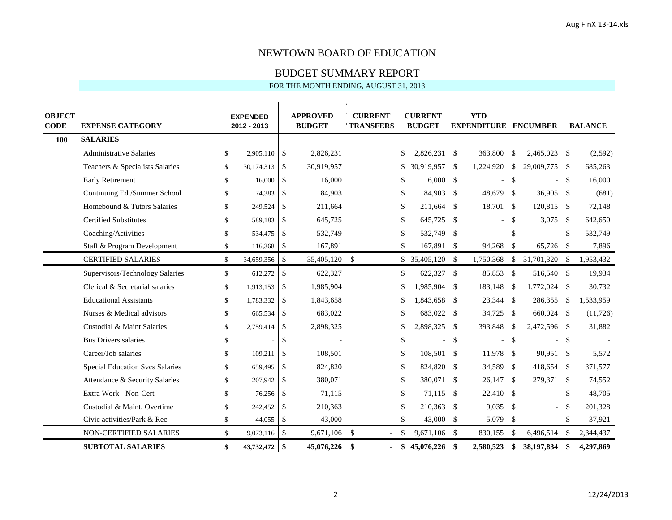#### BUDGET SUMMARY REPORT

| <b>OBJECT</b> |                                        |              |                                |                    | <b>APPROVED</b> | <b>CURRENT</b>                   |               | <b>CURRENT</b>     |      | <b>YTD</b>                  |               |                          |      |                |
|---------------|----------------------------------------|--------------|--------------------------------|--------------------|-----------------|----------------------------------|---------------|--------------------|------|-----------------------------|---------------|--------------------------|------|----------------|
| <b>CODE</b>   | <b>EXPENSE CATEGORY</b>                |              | <b>EXPENDED</b><br>2012 - 2013 |                    | <b>BUDGET</b>   | <b>TRANSFERS</b>                 |               | <b>BUDGET</b>      |      | <b>EXPENDITURE ENCUMBER</b> |               |                          |      | <b>BALANCE</b> |
| 100           | <b>SALARIES</b>                        |              |                                |                    |                 |                                  |               |                    |      |                             |               |                          |      |                |
|               | <b>Administrative Salaries</b>         | \$           | 2,905,110                      | <b>S</b>           | 2,826,231       |                                  | \$            | 2,826,231 \$       |      | 363,800                     | \$            | 2,465,023 \$             |      | (2,592)        |
|               | Teachers & Specialists Salaries        | \$           | 30,174,313                     | $\mathbb{S}$       | 30,919,957      |                                  | \$            | 30,919,957 \$      |      | 1,224,920                   | \$            | 29,009,775               | - \$ | 685,263        |
|               | Early Retirement                       | \$           | 16,000                         | $\mathbb{S}$       | 16,000          |                                  | \$            | $16,000$ \$        |      |                             | $\mathbb{S}$  | $\overline{\phantom{a}}$ | -\$  | 16,000         |
|               | Continuing Ed./Summer School           | \$           | 74,383                         | \$                 | 84,903          |                                  | \$            | 84,903             | - \$ | 48,679                      | <sup>\$</sup> | 36,905 \$                |      | (681)          |
|               | Homebound & Tutors Salaries            | \$           | 249,524                        | $\mathbb{S}$       | 211,664         |                                  | \$            | 211,664 \$         |      | 18,701                      | <sup>\$</sup> | 120,815 \$               |      | 72,148         |
|               | <b>Certified Substitutes</b>           | \$           | 589,183                        | $\mathbb{S}$       | 645,725         |                                  | \$            | 645,725            | - \$ |                             | $\mathbb{S}$  | 3,075                    | - \$ | 642,650        |
|               | Coaching/Activities                    | \$           | 534,475                        | $\mathbb{S}$       | 532,749         |                                  | \$            | 532,749 \$         |      |                             | \$            | $\sim$                   | -\$  | 532,749        |
|               | Staff & Program Development            | \$           | 116,368                        | \$                 | 167,891         |                                  | \$            | 167,891 \$         |      | 94,268 \$                   |               | 65,726 \$                |      | 7,896          |
|               | <b>CERTIFIED SALARIES</b>              | \$           | 34,659,356                     | \$                 | 35,405,120 \$   | $\overline{\phantom{a}}$         |               | $$35,405,120$ \ \$ |      | 1,750,368                   | \$            | 31,701,320 \$            |      | 1,953,432      |
|               | Supervisors/Technology Salaries        | $\mathbb{S}$ | 612,272                        | \$                 | 622,327         |                                  | \$            | 622,327 \$         |      | 85,853                      | \$            | 516,540 \$               |      | 19,934         |
|               | Clerical & Secretarial salaries        | \$           | 1,913,153                      | \$                 | 1,985,904       |                                  | \$            | 1,985,904 \$       |      | 183,148                     | <sup>\$</sup> | 1,772,024 \$             |      | 30,732         |
|               | <b>Educational Assistants</b>          | \$           | 1,783,332                      | \$                 | 1,843,658       |                                  | \$            | 1,843,658 \$       |      | 23,344                      | \$            | 286,355                  | -\$  | 1,533,959      |
|               | Nurses & Medical advisors              | \$           | 665,534                        | \$                 | 683,022         |                                  | \$            | 683,022 \$         |      | 34,725                      | \$            | 660,024 \$               |      | (11, 726)      |
|               | Custodial & Maint Salaries             | \$           | 2,759,414                      | $\mathbb{S}$       | 2,898,325       |                                  | \$            | 2,898,325 \$       |      | 393,848                     | <sup>\$</sup> | 2,472,596 \$             |      | 31,882         |
|               | <b>Bus Drivers salaries</b>            | \$           |                                | \$                 |                 |                                  | \$            |                    | -S   |                             | \$            | $\overline{a}$           | -S   |                |
|               | Career/Job salaries                    | \$           | 109,211                        | $\mathbb{S}$       | 108,501         |                                  | \$            | 108,501 \$         |      | 11,978                      | \$            | 90,951 \$                |      | 5,572          |
|               | <b>Special Education Svcs Salaries</b> | \$           | 659,495                        | \$                 | 824,820         |                                  | \$            | 824,820 \$         |      | 34,589                      | <sup>\$</sup> | 418,654                  | -\$  | 371,577        |
|               | Attendance & Security Salaries         | \$           | 207,942                        | $\mathbb{S}$       | 380,071         |                                  | \$            | 380,071 \$         |      | 26,147                      | -S            | 279,371 \$               |      | 74,552         |
|               | Extra Work - Non-Cert                  | \$           | 76,256                         | \$                 | 71,115          |                                  | \$            | 71,115 \$          |      | 22,410                      | <sup>\$</sup> | $\sim$                   | -\$  | 48,705         |
|               | Custodial & Maint. Overtime            | \$           | 242,452                        | $\mathbf{\hat{S}}$ | 210,363         |                                  | \$            | 210,363 \$         |      | 9,035                       | <sup>\$</sup> | $\overline{\phantom{a}}$ | -S   | 201,328        |
|               | Civic activities/Park & Rec            | \$           | 44,055                         | \$                 | 43,000          |                                  | \$            | 43,000 \$          |      | 5,079                       | \$            | $\sim$                   | \$   | 37,921         |
|               | NON-CERTIFIED SALARIES                 | \$           | 9,073,116                      | $\sqrt$            | 9,671,106       | - \$<br>$\overline{\phantom{a}}$ | \$            | 9,671,106 \$       |      | 830,155                     | <sup>\$</sup> | 6,496,514                | -\$  | 2,344,437      |
|               | <b>SUBTOTAL SALARIES</b>               | \$           | 43,732,472                     | \$                 | 45,076,226      | -\$<br>$\blacksquare$            | <sup>\$</sup> | 45,076,226 \$      |      | 2,580,523                   | \$            | 38,197,834               | -\$  | 4,297,869      |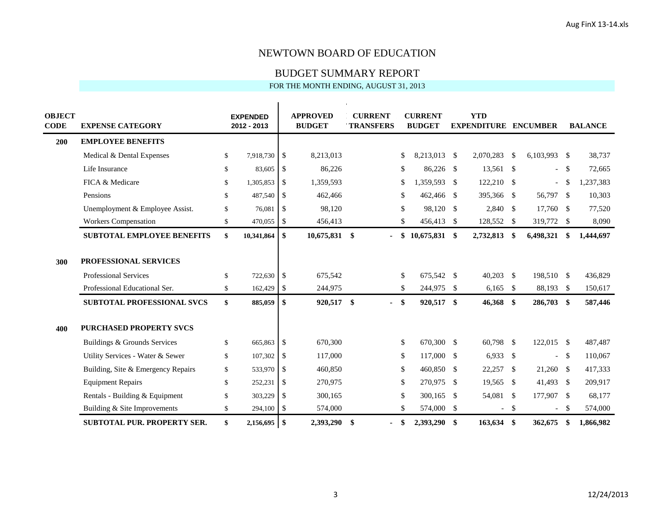#### BUDGET SUMMARY REPORT

| <b>OBJECT</b><br><b>CODE</b> | <b>EXPENSE CATEGORY</b>            |               | <b>EXPENDED</b><br>2012 - 2013 |                           | <b>APPROVED</b><br><b>BUDGET</b> | <b>CURRENT</b><br><b>TRANSFERS</b> | <b>CURRENT</b><br><b>BUDGET</b> |     | <b>YTD</b><br><b>EXPENDITURE ENCUMBER</b> |               |                          |     | <b>BALANCE</b> |
|------------------------------|------------------------------------|---------------|--------------------------------|---------------------------|----------------------------------|------------------------------------|---------------------------------|-----|-------------------------------------------|---------------|--------------------------|-----|----------------|
| 200                          | <b>EMPLOYEE BENEFITS</b>           |               |                                |                           |                                  |                                    |                                 |     |                                           |               |                          |     |                |
|                              | Medical & Dental Expenses          | \$            | 7,918,730                      | \$                        | 8,213,013                        |                                    | \$<br>8,213,013 \$              |     | 2,070,283                                 | $\mathcal{S}$ | 6,103,993 \$             |     | 38,737         |
|                              | Life Insurance                     | $\mathbb{S}$  | 83,605                         | \$                        | 86,226                           |                                    | \$<br>86,226 \$                 |     | $13,561$ \$                               |               | $\overline{\phantom{a}}$ | -S  | 72,665         |
|                              | FICA & Medicare                    | $\mathbb{S}$  | 1,305,853                      | \$                        | 1,359,593                        |                                    | \$<br>1,359,593 \$              |     | 122,210                                   | $\mathcal{S}$ | $\overline{\phantom{0}}$ | -\$ | 1,237,383      |
|                              | Pensions                           | \$            | 487,540                        | \$                        | 462,466                          |                                    | \$<br>462,466 \$                |     | 395,366                                   | - \$          | 56,797 \$                |     | 10,303         |
|                              | Unemployment & Employee Assist.    | $\mathbb{S}$  | 76,081                         | $\mathbb{S}$              | 98,120                           |                                    | \$<br>98,120 \$                 |     | 2,840                                     | - \$          | 17,760 \$                |     | 77,520         |
|                              | <b>Workers Compensation</b>        | \$            | 470,055                        | $\boldsymbol{\mathsf{S}}$ | 456,413                          |                                    | \$<br>456,413 \$                |     | 128,552                                   | -S            | 319,772 \$               |     | 8,090          |
|                              | <b>SUBTOTAL EMPLOYEE BENEFITS</b>  | \$            | 10,341,864                     | \$                        | 10,675,831                       | \$                                 | \$<br>10,675,831 \$             |     | 2,732,813                                 | \$            | 6,498,321                | -\$ | 1,444,697      |
|                              |                                    |               |                                |                           |                                  |                                    |                                 |     |                                           |               |                          |     |                |
| 300                          | PROFESSIONAL SERVICES              |               |                                |                           |                                  |                                    |                                 |     |                                           |               |                          |     |                |
|                              | <b>Professional Services</b>       | <sup>\$</sup> | 722,630                        | $\mathbb{S}$              | 675,542                          |                                    | \$<br>675,542 \$                |     | 40,203                                    | - \$          | 198,510 \$               |     | 436,829        |
|                              | Professional Educational Ser.      | \$            | 162,429                        | \$                        | 244,975                          |                                    | \$<br>244,975 \$                |     | 6,165                                     | - \$          | 88,193 \$                |     | 150,617        |
|                              | <b>SUBTOTAL PROFESSIONAL SVCS</b>  | $\mathbf{s}$  | 885,059                        | \$                        | 920,517                          | \$<br>$\blacksquare$               | \$<br>920,517 \$                |     | 46,368 \$                                 |               | 286,703 \$               |     | 587,446        |
|                              |                                    |               |                                |                           |                                  |                                    |                                 |     |                                           |               |                          |     |                |
| 400                          | <b>PURCHASED PROPERTY SVCS</b>     |               |                                |                           |                                  |                                    |                                 |     |                                           |               |                          |     |                |
|                              | Buildings & Grounds Services       | S.            | 665,863                        | \$                        | 670,300                          |                                    | \$<br>670,300 \$                |     | 60,798 \$                                 |               | 122,015 \$               |     | 487,487        |
|                              | Utility Services - Water & Sewer   | S.            | 107,302                        | -\$                       | 117,000                          |                                    | \$<br>117,000 \$                |     | 6,933                                     | $\mathcal{S}$ | $\overline{\phantom{a}}$ | -S  | 110,067        |
|                              | Building, Site & Emergency Repairs | \$            | 533,970                        | -\$                       | 460,850                          |                                    | \$<br>460,850 \$                |     | 22,257                                    | $\mathcal{S}$ | 21,260 \$                |     | 417,333        |
|                              | <b>Equipment Repairs</b>           | S.            | 252,231                        | -\$                       | 270,975                          |                                    | \$<br>270,975 \$                |     | 19,565                                    | $\mathcal{S}$ | 41,493 \$                |     | 209,917        |
|                              | Rentals - Building & Equipment     | \$            | 303,229                        | -\$                       | 300,165                          |                                    | \$<br>300,165 \$                |     | 54,081                                    | $\mathcal{S}$ | 177,907 \$               |     | 68,177         |
|                              | Building & Site Improvements       | S.            | 294,100                        | \$                        | 574,000                          |                                    | \$<br>574,000                   | -\$ | $\overline{\phantom{0}}$                  | -S            | $\overline{\phantom{a}}$ | -S  | 574,000        |
|                              | SUBTOTAL PUR. PROPERTY SER.        | \$            | 2,156,695                      | \$                        | 2,393,290                        | \$<br>ä,                           | \$<br>2,393,290 \$              |     | 163,634                                   | \$            | 362,675                  | \$  | 1,866,982      |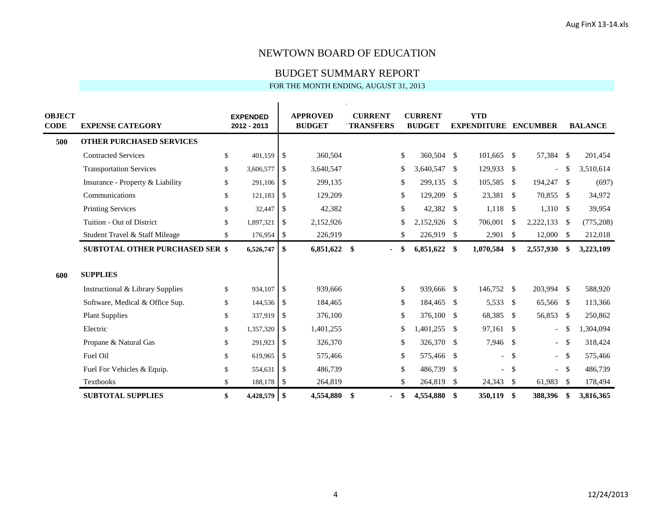#### BUDGET SUMMARY REPORT

| <b>OBJECT</b><br><b>CODE</b> | <b>EXPENSE CATEGORY</b>                     |               | <b>EXPENDED</b><br>2012 - 2013 |               | <b>APPROVED</b><br><b>BUDGET</b> | <b>CURRENT</b><br><b>TRANSFERS</b> | <b>CURRENT</b><br><b>BUDGET</b> |      | <b>YTD</b><br><b>EXPENDITURE ENCUMBER</b> |               |                |              | <b>BALANCE</b> |
|------------------------------|---------------------------------------------|---------------|--------------------------------|---------------|----------------------------------|------------------------------------|---------------------------------|------|-------------------------------------------|---------------|----------------|--------------|----------------|
| 500                          | <b>OTHER PURCHASED SERVICES</b>             |               |                                |               |                                  |                                    |                                 |      |                                           |               |                |              |                |
|                              | <b>Contracted Services</b>                  | $\mathbb{S}$  | 401,159                        | \$            | 360,504                          |                                    | \$<br>360,504 \$                |      | 101,665 \$                                |               | 57,384 \$      |              | 201,454        |
|                              | <b>Transportation Services</b>              | $\mathbb{S}$  | 3,606,577                      | $\mathbb{S}$  | 3,640,547                        |                                    | \$<br>3,640,547 \$              |      | 129,933 \$                                |               | $\overline{a}$ | $\mathbb{S}$ | 3,510,614      |
|                              | Insurance - Property & Liability            | S.            | 291,106                        | $\mathbb{S}$  | 299,135                          |                                    | \$<br>299,135 \$                |      | 105,585                                   | - \$          | 194,247 \$     |              | (697)          |
|                              | Communications                              | S.            | 121,183                        | \$            | 129,209                          |                                    | \$<br>129,209                   | - \$ | 23,381 \$                                 |               | 70,855 \$      |              | 34,972         |
|                              | <b>Printing Services</b>                    | S.            | 32,447                         | -\$           | 42,382                           |                                    | \$<br>42,382 \$                 |      | $1,118$ \$                                |               | $1,310$ \$     |              | 39,954         |
|                              | Tuition - Out of District                   | $\mathbb{S}$  | 1,897,321                      | \$            | 2,152,926                        |                                    | \$<br>2,152,926 \$              |      | 706,001                                   | $\mathcal{S}$ | 2,222,133      | - \$         | (775, 208)     |
|                              | Student Travel & Staff Mileage              | \$            | 176,954                        | \$            | 226,919                          |                                    | \$<br>226,919 \$                |      | 2,901                                     | -\$           | $12,000$ \$    |              | 212,018        |
|                              | <b>SUBTOTAL OTHER PURCHASED SER \$</b>      |               | 6,526,747                      | \$            | 6,851,622                        | -\$<br>÷.                          | \$<br>$6,851,622$ \$            |      | 1,070,584                                 | \$            | 2,557,930      | -\$          | 3,223,109      |
| 600                          | <b>SUPPLIES</b>                             |               |                                |               |                                  |                                    |                                 |      |                                           |               |                |              |                |
|                              | <b>Instructional &amp; Library Supplies</b> | <sup>\$</sup> | 934,107                        | $\mathcal{S}$ | 939,666                          |                                    | \$<br>939,666 \$                |      | 146,752 \$                                |               | 203,994 \$     |              | 588,920        |
|                              | Software, Medical & Office Sup.             | \$            | 144,536                        | \$            | 184,465                          |                                    | \$<br>184,465 \$                |      | 5,533                                     | - \$          | 65,566 \$      |              | 113,366        |
|                              | <b>Plant Supplies</b>                       | $\mathbb{S}$  | 337,919                        | \$            | 376,100                          |                                    | \$<br>376,100 \$                |      | 68,385                                    | - \$          | 56,853 \$      |              | 250,862        |
|                              | Electric                                    | $\mathbb{S}$  | 1,357,320                      | \$            | 1,401,255                        |                                    | \$<br>1,401,255 \$              |      | 97,161                                    | - \$          | $\sim$         | -\$          | 1,304,094      |
|                              | Propane & Natural Gas                       | $\mathbb{S}$  | 291,923                        | -\$           | 326,370                          |                                    | \$<br>326,370 \$                |      | 7,946                                     | $\mathcal{S}$ | $\sim$         | -\$          | 318,424        |
|                              | Fuel Oil                                    | $\mathbb{S}$  | 619,965                        | \$            | 575,466                          |                                    | \$<br>575,466 \$                |      | $\equiv$                                  | $\mathbb{S}$  | $\sim$         | -S           | 575,466        |
|                              | Fuel For Vehicles & Equip.                  | $\mathbb{S}$  | 554,631                        | -\$           | 486,739                          |                                    | \$<br>486,739                   | - \$ |                                           | <sup>\$</sup> | $\sim$         | - \$         | 486,739        |
|                              | <b>Textbooks</b>                            | $\mathbb{S}$  | 188,178                        | \$            | 264,819                          |                                    | \$<br>264,819                   | -\$  | 24,343                                    | \$            | 61,983         | -\$          | 178,494        |
|                              | <b>SUBTOTAL SUPPLIES</b>                    | \$            | 4,428,579                      | \$            | 4,554,880                        | -\$<br>÷.                          | \$<br>4,554,880 \$              |      | 350,119                                   | -\$           | 388,396        | -S           | 3,816,365      |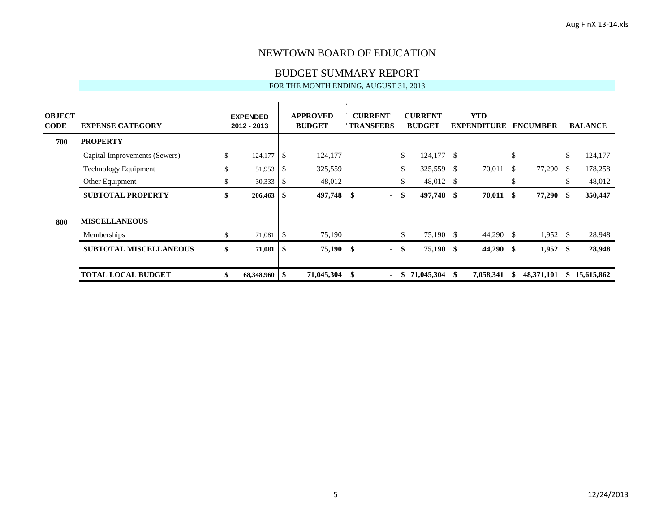BUDGET SUMMARY REPORT

| <b>OBJECT</b><br><b>CODE</b> | <b>EXPENSE CATEGORY</b>       |    | <b>EXPENDED</b><br>2012 - 2013 |                | <b>APPROVED</b><br><b>BUDGET</b> | <b>CURRENT</b><br><b>TRANSFERS</b> |     | <b>CURRENT</b><br><b>BUDGET</b> |    | <b>YTD</b><br><b>EXPENDITURE</b> |      | <b>ENCUMBER</b>             |      | <b>BALANCE</b> |
|------------------------------|-------------------------------|----|--------------------------------|----------------|----------------------------------|------------------------------------|-----|---------------------------------|----|----------------------------------|------|-----------------------------|------|----------------|
| 700                          | <b>PROPERTY</b>               |    |                                |                |                                  |                                    |     |                                 |    |                                  |      |                             |      |                |
|                              | Capital Improvements (Sewers) | \$ | 124,177                        | <b>IS</b>      | 124,177                          |                                    | \$  | $124,177$ \$                    |    |                                  | - \$ | $\mathcal{L}^{\mathcal{L}}$ | -S   | 124,177        |
|                              | <b>Technology Equipment</b>   | \$ | 51,953                         | - \$           | 325,559                          |                                    | \$  | 325,559 \$                      |    | 70,011                           | - \$ | 77,290                      | - \$ | 178,258        |
|                              | Other Equipment               | J. | 30,333                         | -S             | 48,012                           |                                    | \$  | 48,012 \$                       |    | $\sim$ $ \sim$                   | -S   | $\sim$                      | -S   | 48,012         |
|                              | <b>SUBTOTAL PROPERTY</b>      | \$ | 206,463                        | S              | 497,748                          | -\$<br>$\sim$                      | -\$ | 497,748 \$                      |    | $70,011$ \$                      |      | 77,290 \$                   |      | 350,447        |
| 800                          | <b>MISCELLANEOUS</b>          |    |                                |                |                                  |                                    |     |                                 |    |                                  |      |                             |      |                |
|                              | Memberships                   |    | 71,081                         | $\overline{1}$ | 75,190                           |                                    | \$  | 75,190 \$                       |    | 44,290 \$                        |      | 1,952                       | - \$ | 28,948         |
|                              | <b>SUBTOTAL MISCELLANEOUS</b> | \$ | 71,081                         | - \$           | 75,190 \$                        | $\sim$                             | -\$ | 75,190 \$                       |    | $44,290$ \$                      |      | $1,952$ \$                  |      | 28,948         |
|                              | <b>TOTAL LOCAL BUDGET</b>     |    | $68,348,960$   \$              |                | 71,045,304                       | -\$<br>$\sim$                      | -S  | 71,045,304                      | ÷. | 7,058,341                        | -\$  | 48,371,101                  | SS.  | 15,615,862     |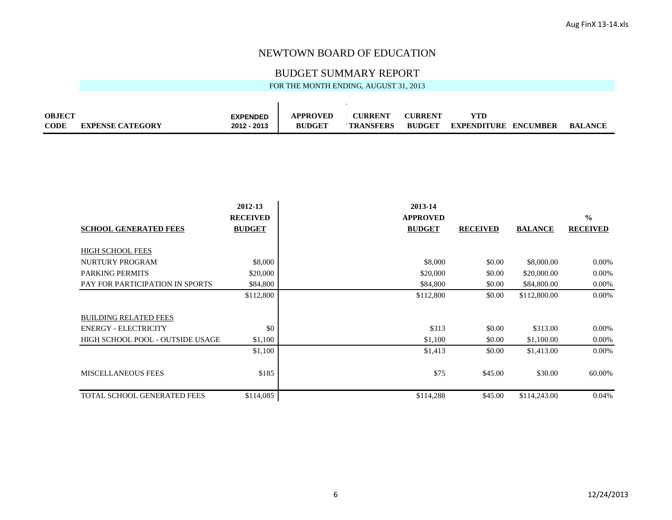## BUDGET SUMMARY REPORT

| <b>OBJECT</b> |                         | <b>EXPENDED</b> | <b>APPROVED</b> | <b>CURRENT</b>   | <b>CHRRENT</b> | YTD         |                 |                |
|---------------|-------------------------|-----------------|-----------------|------------------|----------------|-------------|-----------------|----------------|
| <b>CODE</b>   | <b>EXPENSE CATEGORY</b> | 2012 - 2013     | <b>BUDGET</b>   | <b>TRANSFERS</b> | <b>BUDGET</b>  | EXPENDITURE | <b>ENCUMBER</b> | <b>BALANCE</b> |

|                                    | 2012-13         | 2013-14         |                 |                |                 |
|------------------------------------|-----------------|-----------------|-----------------|----------------|-----------------|
|                                    | <b>RECEIVED</b> | <b>APPROVED</b> |                 |                | $\frac{0}{0}$   |
| <b>SCHOOL GENERATED FEES</b>       | <b>BUDGET</b>   | <b>BUDGET</b>   | <b>RECEIVED</b> | <b>BALANCE</b> | <b>RECEIVED</b> |
| <b>HIGH SCHOOL FEES</b>            |                 |                 |                 |                |                 |
|                                    |                 |                 |                 |                |                 |
| <b>NURTURY PROGRAM</b>             | \$8,000         | \$8,000         | \$0.00          | \$8,000.00     | $0.00\%$        |
| <b>PARKING PERMITS</b>             | \$20,000        | \$20,000        | \$0.00          | \$20,000.00    | 0.00%           |
| PAY FOR PARTICIPATION IN SPORTS    | \$84,800        | \$84,800        | \$0.00          | \$84,800.00    | 0.00%           |
|                                    | \$112,800       | \$112,800       | \$0.00          | \$112,800.00   | $0.00\%$        |
| <b>BUILDING RELATED FEES</b>       |                 |                 |                 |                |                 |
| <b>ENERGY - ELECTRICITY</b>        | \$0             | \$313           | \$0.00          | \$313.00       | 0.00%           |
| HIGH SCHOOL POOL - OUTSIDE USAGE   | \$1,100         | \$1,100         | \$0.00          | \$1,100.00     | 0.00%           |
|                                    | \$1,100         | \$1,413         | \$0.00          | \$1,413.00     | $0.00\%$        |
| <b>MISCELLANEOUS FEES</b>          | \$185           | \$75            | \$45.00         | \$30.00        | 60.00%          |
| <b>TOTAL SCHOOL GENERATED FEES</b> | \$114,085       | \$114,288       | \$45.00         | \$114,243.00   | 0.04%           |